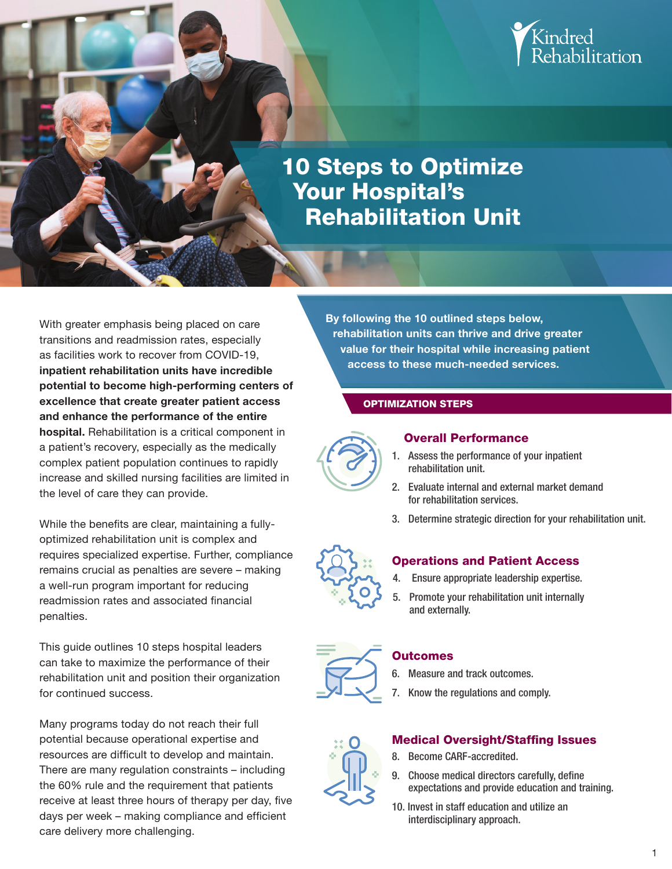

# 10 Steps to Optimize Your Hospital's Rehabilitation Unit

With greater emphasis being placed on care transitions and readmission rates, especially as facilities work to recover from COVID-19, inpatient rehabilitation units have incredible potential to become high-performing centers of excellence that create greater patient access and enhance the performance of the entire hospital. Rehabilitation is a critical component in a patient's recovery, especially as the medically complex patient population continues to rapidly increase and skilled nursing facilities are limited in the level of care they can provide.

While the benefits are clear, maintaining a fullyoptimized rehabilitation unit is complex and requires specialized expertise. Further, compliance remains crucial as penalties are severe – making a well-run program important for reducing readmission rates and associated financial penalties.

This guide outlines 10 steps hospital leaders can take to maximize the performance of their rehabilitation unit and position their organization for continued success.

Many programs today do not reach their full potential because operational expertise and resources are difficult to develop and maintain. There are many regulation constraints – including the 60% rule and the requirement that patients receive at least three hours of therapy per day, five days per week – making compliance and efficient care delivery more challenging.

By following the 10 outlined steps below, rehabilitation units can thrive and drive greater value for their hospital while increasing patient access to these much-needed services.

## OPTIMIZATION STEPS



## Overall Performance

- 1. Assess the performance of your inpatient rehabilitation unit.
- 2. Evaluate internal and external market demand for rehabilitation services.
- 3. Determine strategic direction for your rehabilitation unit.



## Operations and Patient Access

- 4. Ensure appropriate leadership expertise.
- 5. Promote your rehabilitation unit internally and externally.



# **Outcomes**

- 6. Measure and track outcomes.
- 7. Know the regulations and comply.

# **Medical Oversight/Staffing Issues**

- 8. Become CARF-accredited.
- 9. Choose medical directors carefully, define expectations and provide education and training.
- 10. Invest in staff education and utilize an interdisciplinary approach.
- 1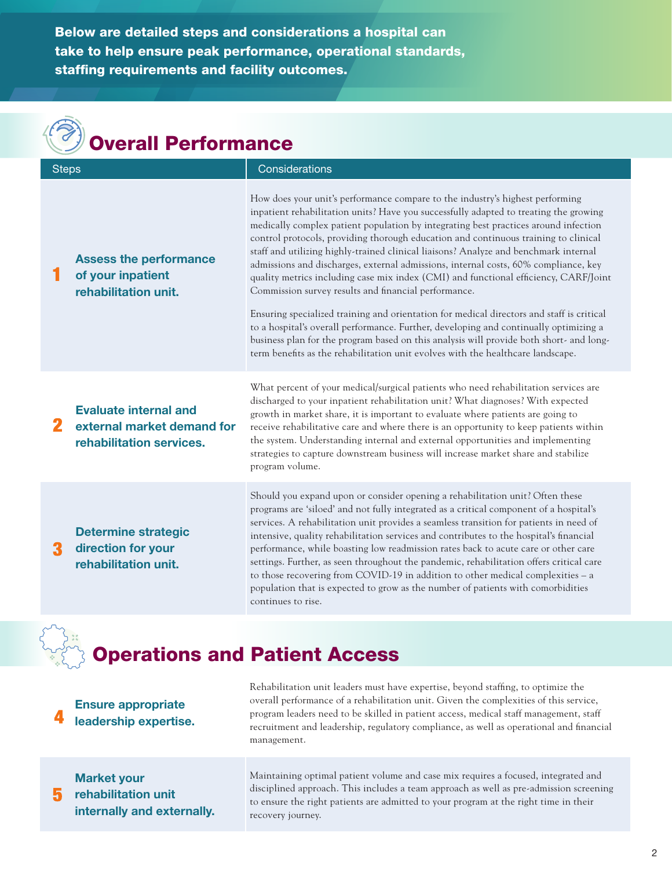Below are detailed steps and considerations a hospital can take to help ensure peak performance, operational standards, staffing requirements and facility outcomes.

| <b>Overall Performance</b> |                                                                                        |                                                                                                                                                                                                                                                                                                                                                                                                                                                                                                                                                                                                                                                                                                                                           |  |
|----------------------------|----------------------------------------------------------------------------------------|-------------------------------------------------------------------------------------------------------------------------------------------------------------------------------------------------------------------------------------------------------------------------------------------------------------------------------------------------------------------------------------------------------------------------------------------------------------------------------------------------------------------------------------------------------------------------------------------------------------------------------------------------------------------------------------------------------------------------------------------|--|
| <b>Steps</b>               |                                                                                        | Considerations                                                                                                                                                                                                                                                                                                                                                                                                                                                                                                                                                                                                                                                                                                                            |  |
|                            | <b>Assess the performance</b><br>of your inpatient<br>rehabilitation unit.             | How does your unit's performance compare to the industry's highest performing<br>inpatient rehabilitation units? Have you successfully adapted to treating the growing<br>medically complex patient population by integrating best practices around infection<br>control protocols, providing thorough education and continuous training to clinical<br>staff and utilizing highly-trained clinical liaisons? Analyze and benchmark internal<br>admissions and discharges, external admissions, internal costs, 60% compliance, key<br>quality metrics including case mix index (CMI) and functional efficiency, CARF/Joint<br>Commission survey results and financial performance.                                                       |  |
|                            |                                                                                        | Ensuring specialized training and orientation for medical directors and staff is critical<br>to a hospital's overall performance. Further, developing and continually optimizing a<br>business plan for the program based on this analysis will provide both short- and long-<br>term benefits as the rehabilitation unit evolves with the healthcare landscape.                                                                                                                                                                                                                                                                                                                                                                          |  |
|                            | <b>Evaluate internal and</b><br>external market demand for<br>rehabilitation services. | What percent of your medical/surgical patients who need rehabilitation services are<br>discharged to your inpatient rehabilitation unit? What diagnoses? With expected<br>growth in market share, it is important to evaluate where patients are going to<br>receive rehabilitative care and where there is an opportunity to keep patients within<br>the system. Understanding internal and external opportunities and implementing<br>strategies to capture downstream business will increase market share and stabilize<br>program volume.                                                                                                                                                                                             |  |
|                            | <b>Determine strategic</b><br>direction for your<br>rehabilitation unit.               | Should you expand upon or consider opening a rehabilitation unit? Often these<br>programs are 'siloed' and not fully integrated as a critical component of a hospital's<br>services. A rehabilitation unit provides a seamless transition for patients in need of<br>intensive, quality rehabilitation services and contributes to the hospital's financial<br>performance, while boasting low readmission rates back to acute care or other care<br>settings. Further, as seen throughout the pandemic, rehabilitation offers critical care<br>to those recovering from COVID-19 in addition to other medical complexities - a<br>population that is expected to grow as the number of patients with comorbidities<br>continues to rise. |  |

# Operations and Patient Access

#### **4**  Ensure appropriate leadership expertise.

Rehabilitation unit leaders must have expertise, beyond staffng, to optimize the overall performance of a rehabilitation unit. Given the complexities of this service, program leaders need to be skilled in patient access, medical staff management, staff recruitment and leadership, regulatory compliance, as well as operational and fnancial management.

#### 5 Market your rehabilitation unit internally and externally.

Maintaining optimal patient volume and case mix requires a focused, integrated and disciplined approach. This includes a team approach as well as pre-admission screening to ensure the right patients are admitted to your program at the right time in their recovery journey.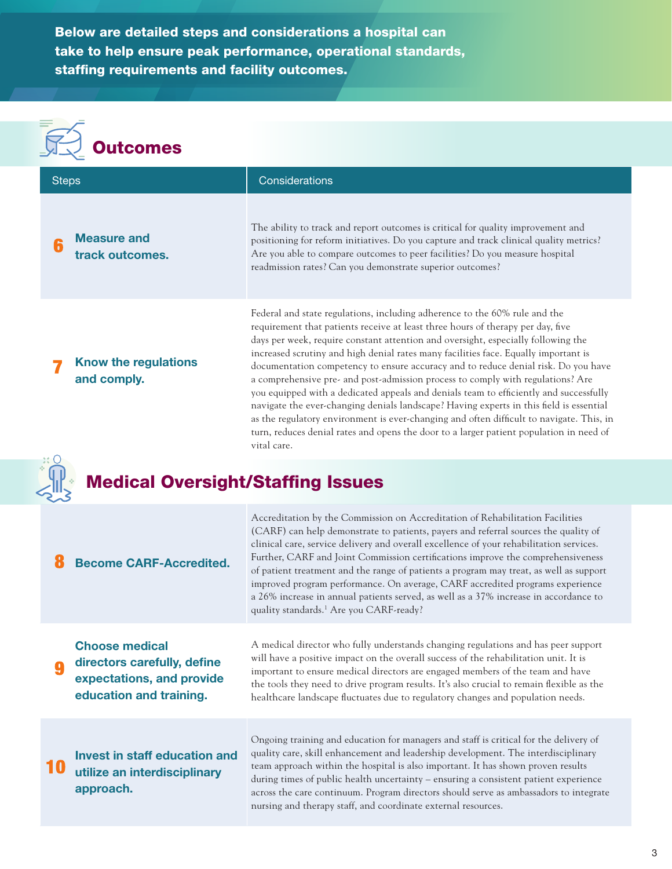Below are detailed steps and considerations a hospital can take to help ensure peak performance, operational standards, staffing requirements and facility outcomes.

# **Outcomes**

| <b>Steps</b>                             |                                                                                                              | Considerations                                                                                                                                                                                                                                                                                                                                                                                                                                                                                                                                                                                                                                                                                                                                                                                                                                                                                                |
|------------------------------------------|--------------------------------------------------------------------------------------------------------------|---------------------------------------------------------------------------------------------------------------------------------------------------------------------------------------------------------------------------------------------------------------------------------------------------------------------------------------------------------------------------------------------------------------------------------------------------------------------------------------------------------------------------------------------------------------------------------------------------------------------------------------------------------------------------------------------------------------------------------------------------------------------------------------------------------------------------------------------------------------------------------------------------------------|
| 6                                        | <b>Measure and</b><br>track outcomes.                                                                        | The ability to track and report outcomes is critical for quality improvement and<br>positioning for reform initiatives. Do you capture and track clinical quality metrics?<br>Are you able to compare outcomes to peer facilities? Do you measure hospital<br>readmission rates? Can you demonstrate superior outcomes?                                                                                                                                                                                                                                                                                                                                                                                                                                                                                                                                                                                       |
|                                          | Know the regulations<br>and comply.                                                                          | Federal and state regulations, including adherence to the 60% rule and the<br>requirement that patients receive at least three hours of therapy per day, five<br>days per week, require constant attention and oversight, especially following the<br>increased scrutiny and high denial rates many facilities face. Equally important is<br>documentation competency to ensure accuracy and to reduce denial risk. Do you have<br>a comprehensive pre- and post-admission process to comply with regulations? Are<br>you equipped with a dedicated appeals and denials team to efficiently and successfully<br>navigate the ever-changing denials landscape? Having experts in this field is essential<br>as the regulatory environment is ever-changing and often difficult to navigate. This, in<br>turn, reduces denial rates and opens the door to a larger patient population in need of<br>vital care. |
| <b>Medical Oversight/Staffing Issues</b> |                                                                                                              |                                                                                                                                                                                                                                                                                                                                                                                                                                                                                                                                                                                                                                                                                                                                                                                                                                                                                                               |
|                                          | <b>Become CARF-Accredited.</b>                                                                               | Accreditation by the Commission on Accreditation of Rehabilitation Facilities<br>(CARF) can help demonstrate to patients, payers and referral sources the quality of<br>clinical care, service delivery and overall excellence of your rehabilitation services.<br>Further, CARF and Joint Commission certifications improve the comprehensiveness<br>of patient treatment and the range of patients a program may treat, as well as support<br>improved program performance. On average, CARF accredited programs experience<br>a 26% increase in annual patients served, as well as a 37% increase in accordance to<br>quality standards. <sup>1</sup> Are you CARF-ready?                                                                                                                                                                                                                                  |
| 9                                        | <b>Choose medical</b><br>directors carefully, define<br>expectations, and provide<br>education and training. | A medical director who fully understands changing regulations and has peer support<br>will have a positive impact on the overall success of the rehabilitation unit. It is<br>important to ensure medical directors are engaged members of the team and have<br>the tools they need to drive program results. It's also crucial to remain flexible as the<br>healthcare landscape fluctuates due to regulatory changes and population needs.                                                                                                                                                                                                                                                                                                                                                                                                                                                                  |
|                                          | <b>Invest in staff education and</b><br>utilize an interdisciplinary<br>approach.                            | Ongoing training and education for managers and staff is critical for the delivery of<br>quality care, skill enhancement and leadership development. The interdisciplinary<br>team approach within the hospital is also important. It has shown proven results<br>during times of public health uncertainty - ensuring a consistent patient experience<br>across the care continuum. Program directors should serve as ambassadors to integrate<br>nursing and therapy staff, and coordinate external resources.                                                                                                                                                                                                                                                                                                                                                                                              |